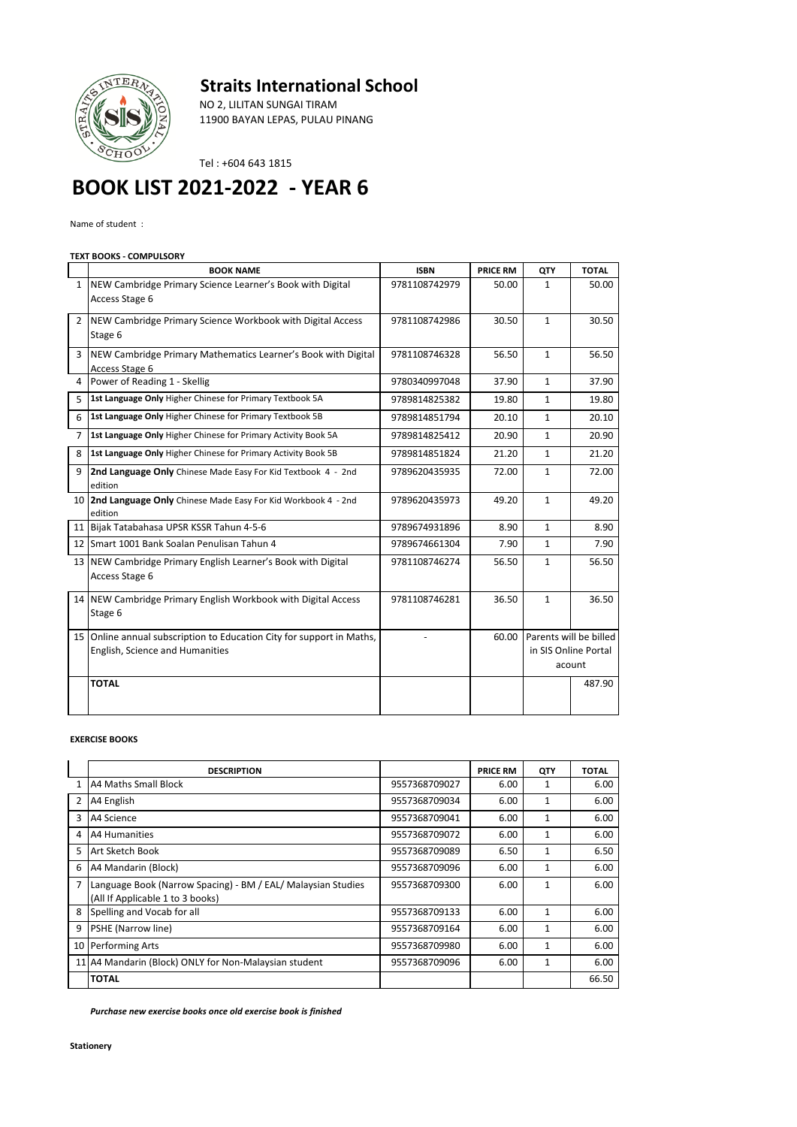



NO 2, LILITAN SUNGAI TIRAM 11900 BAYAN LEPAS, PULAU PINANG

Tel : +604 643 1815

## **BOOK LIST 2021-2022 - YEAR 6**

Name of student :

## **TEXT BOOKS - COMPULSORY**

|                | <b>BOOK NAME</b>                                                                                         | <b>ISBN</b>   | <b>PRICE RM</b> | QTY                                                      | <b>TOTAL</b> |
|----------------|----------------------------------------------------------------------------------------------------------|---------------|-----------------|----------------------------------------------------------|--------------|
| $\mathbf{1}$   | NEW Cambridge Primary Science Learner's Book with Digital<br>Access Stage 6                              | 9781108742979 | 50.00           | 1                                                        | 50.00        |
| $\overline{2}$ | NEW Cambridge Primary Science Workbook with Digital Access<br>Stage 6                                    | 9781108742986 | 30.50           | $\mathbf{1}$                                             | 30.50        |
| 3              | NEW Cambridge Primary Mathematics Learner's Book with Digital<br>Access Stage 6                          | 9781108746328 | 56.50           | $\mathbf{1}$                                             | 56.50        |
| 4              | Power of Reading 1 - Skellig                                                                             | 9780340997048 | 37.90           | $\mathbf{1}$                                             | 37.90        |
| 5              | 1st Language Only Higher Chinese for Primary Textbook 5A                                                 | 9789814825382 | 19.80           | $\mathbf{1}$                                             | 19.80        |
| 6              | 1st Language Only Higher Chinese for Primary Textbook 5B                                                 | 9789814851794 | 20.10           | $\mathbf{1}$                                             | 20.10        |
| 7              | 1st Language Only Higher Chinese for Primary Activity Book 5A                                            | 9789814825412 | 20.90           | $\mathbf{1}$                                             | 20.90        |
| 8              | 1st Language Only Higher Chinese for Primary Activity Book 5B                                            | 9789814851824 | 21.20           | $\mathbf{1}$                                             | 21.20        |
| 9              | 2nd Language Only Chinese Made Easy For Kid Textbook 4 - 2nd<br>edition                                  | 9789620435935 | 72.00           | $\mathbf{1}$                                             | 72.00        |
| 10             | 2nd Language Only Chinese Made Easy For Kid Workbook 4 - 2nd<br>edition                                  | 9789620435973 | 49.20           | $\mathbf{1}$                                             | 49.20        |
|                | 11 Bijak Tatabahasa UPSR KSSR Tahun 4-5-6                                                                | 9789674931896 | 8.90            | $\mathbf{1}$                                             | 8.90         |
|                | 12 Smart 1001 Bank Soalan Penulisan Tahun 4                                                              | 9789674661304 | 7.90            | $\mathbf{1}$                                             | 7.90         |
|                | 13 NEW Cambridge Primary English Learner's Book with Digital<br>Access Stage 6                           | 9781108746274 | 56.50           | $\mathbf{1}$                                             | 56.50        |
|                | 14 NEW Cambridge Primary English Workbook with Digital Access<br>Stage 6                                 | 9781108746281 | 36.50           | $\mathbf{1}$                                             | 36.50        |
|                | 15 Online annual subscription to Education City for support in Maths,<br>English, Science and Humanities |               | 60.00           | Parents will be billed<br>in SIS Online Portal<br>acount |              |
|                | <b>TOTAL</b>                                                                                             |               |                 |                                                          | 487.90       |

## **EXERCISE BOOKS**

|                | <b>DESCRIPTION</b>                                           |               | <b>PRICE RM</b> | QTY          | <b>TOTAL</b> |
|----------------|--------------------------------------------------------------|---------------|-----------------|--------------|--------------|
| 1              | A4 Maths Small Block                                         | 9557368709027 | 6.00            | 1            | 6.00         |
| $\overline{2}$ | A4 English                                                   | 9557368709034 | 6.00            | $\mathbf{1}$ | 6.00         |
| 3              | A4 Science                                                   | 9557368709041 | 6.00            | 1            | 6.00         |
| 4              | A4 Humanities                                                | 9557368709072 | 6.00            | $\mathbf{1}$ | 6.00         |
| 5              | Art Sketch Book                                              | 9557368709089 | 6.50            | 1            | 6.50         |
| 6              | A4 Mandarin (Block)                                          | 9557368709096 | 6.00            | 1            | 6.00         |
| $\overline{7}$ | Language Book (Narrow Spacing) - BM / EAL/ Malaysian Studies | 9557368709300 | 6.00            | $\mathbf{1}$ | 6.00         |
|                | (All If Applicable 1 to 3 books)                             |               |                 |              |              |
| 8              | Spelling and Vocab for all                                   | 9557368709133 | 6.00            | $\mathbf{1}$ | 6.00         |
| 9              | PSHE (Narrow line)                                           | 9557368709164 | 6.00            | $\mathbf{1}$ | 6.00         |
| 10             | <b>Performing Arts</b>                                       | 9557368709980 | 6.00            | $\mathbf{1}$ | 6.00         |
|                | 11 A4 Mandarin (Block) ONLY for Non-Malaysian student        | 9557368709096 | 6.00            | $\mathbf{1}$ | 6.00         |
|                | <b>TOTAL</b>                                                 |               |                 |              | 66.50        |

*Purchase new exercise books once old exercise book is finished*